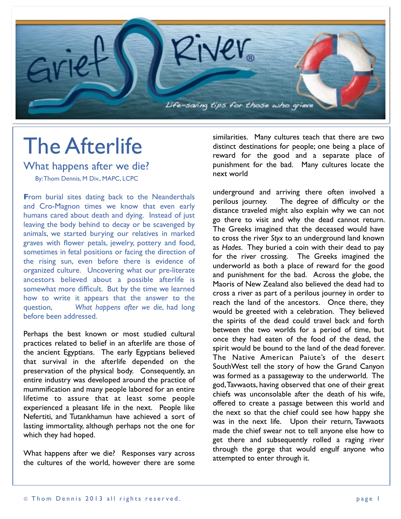

## The Afterlife

What happens after we die?

By: Thom Dennis, M Div., MAPC, LCPC

**From burial sites dating back to the Neanderthals** and Cro-Magnon times we know that even early humans cared about death and dying. Instead of just leaving the body behind to decay or be scavenged by animals, we started burying our relatives in marked graves with flower petals, jewelry, pottery and food, sometimes in fetal positions or facing the direction of the rising sun, even before there is evidence of organized culture. Uncovering what our pre-literate ancestors believed about a possible afterlife is somewhat more difficult. But by the time we learned how to write it appears that the answer to the question, *What happens after we die*, had long before been addressed.

Perhaps the best known or most studied cultural practices related to belief in an afterlife are those of the ancient Egyptians. The early Egyptians believed that survival in the afterlife depended on the preservation of the physical body. Consequently, an entire industry was developed around the practice of mummification and many people labored for an entire lifetime to assure that at least some people experienced a pleasant life in the next. People like Nefertiti, and Tutankhamun have achieved a sort of lasting immortality, although perhaps not the one for which they had hoped.

What happens after we die? Responses vary across the cultures of the world, however there are some similarities. Many cultures teach that there are two distinct destinations for people; one being a place of reward for the good and a separate place of punishment for the bad. Many cultures locate the next world

underground and arriving there often involved a perilous journey. The degree of difficulty or the distance traveled might also explain why we can not go there to visit and why the dead cannot return. The Greeks imagined that the deceased would have to cross the river *Styx* to an underground land known as *Hades*. They buried a coin with their dead to pay for the river crossing. The Greeks imagined the underworld as both a place of reward for the good and punishment for the bad. Across the globe, the Maoris of New Zealand also believed the dead had to cross a river as part of a perilous journey in order to reach the land of the ancestors. Once there, they would be greeted with a celebration. They believed the spirits of the dead could travel back and forth between the two worlds for a period of time, but once they had eaten of the food of the dead, the spirit would be bound to the land of the dead forever. The Native American Paiute's of the desert SouthWest tell the story of how the Grand Canyon was formed as a passageway to the underworld. The god, Tavwaots, having observed that one of their great chiefs was unconsolable after the death of his wife, offered to create a passage between this world and the next so that the chief could see how happy she was in the next life. Upon their return, Tavwaots made the chief swear not to tell anyone else how to get there and subsequently rolled a raging river through the gorge that would engulf anyone who attempted to enter through it.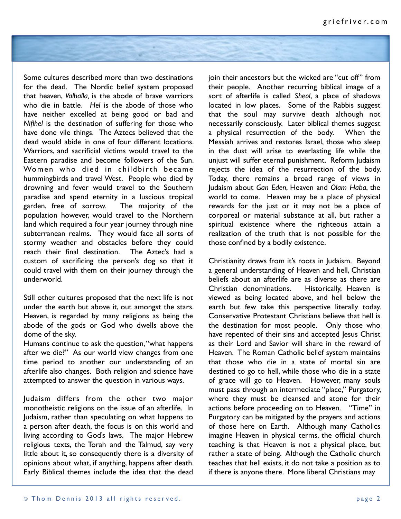

Some cultures described more than two destinations for the dead. The Nordic belief system proposed that heaven, *Valhalla,* is the abode of brave warriors who die in battle. *Hel* is the abode of those who have neither excelled at being good or bad and *Niflhel* is the destination of suffering for those who have done vile things. The Aztecs believed that the dead would abide in one of four different locations. Warriors, and sacrificial victims would travel to the Eastern paradise and become followers of the Sun. Women who died in childbirth became hummingbirds and travel West. People who died by drowning and fever would travel to the Southern paradise and spend eternity in a luscious tropical garden, free of sorrow. The majority of the population however, would travel to the Northern land which required a four year journey through nine subterranean realms. They would face all sorts of stormy weather and obstacles before they could reach their final destination. The Aztec's had a custom of sacrificing the person's dog so that it could travel with them on their journey through the underworld.

Still other cultures proposed that the next life is not under the earth but above it, out amongst the stars. Heaven, is regarded by many religions as being the abode of the gods or God who dwells above the dome of the sky.

Humans continue to ask the question, "what happens after we die?" As our world view changes from one time period to another our understanding of an afterlife also changes. Both religion and science have attempted to answer the question in various ways.

Judaism differs from the other two major monotheistic religions on the issue of an afterlife. In Judaism, rather than speculating on what happens to a person after death, the focus is on this world and living according to God's laws. The major Hebrew religious texts, the Torah and the Talmud, say very little about it, so consequently there is a diversity of opinions about what, if anything, happens after death. Early Biblical themes include the idea that the dead

join their ancestors but the wicked are "cut off" from their people. Another recurring biblical image of a sort of afterlife is called *Sheol*, a place of shadows located in low places. Some of the Rabbis suggest that the soul may survive death although not necessarily consciously. Later biblical themes suggest a physical resurrection of the body. When the Messiah arrives and restores Israel, those who sleep in the dust will arise to everlasting life while the unjust will suffer eternal punishment. Reform Judaism rejects the idea of the resurrection of the body. Today, there remains a broad range of views in Judaism about *Gan Eden*, Heaven and *Olam Haba*, the world to come. Heaven may be a place of physical rewards for the just or it may not be a place of corporeal or material substance at all, but rather a spiritual existence where the righteous attain a realization of the truth that is not possible for the those confined by a bodily existence.

Christianity draws from it's roots in Judaism. Beyond a general understanding of Heaven and hell, Christian beliefs about an afterlife are as diverse as there are Christian denominations. Historically, Heaven is viewed as being located above, and hell below the earth but few take this perspective literally today. Conservative Protestant Christians believe that hell is the destination for most people. Only those who have repented of their sins and accepted Jesus Christ as their Lord and Savior will share in the reward of Heaven. The Roman Catholic belief system maintains that those who die in a state of mortal sin are destined to go to hell, while those who die in a state of grace will go to Heaven. However, many souls must pass through an intermediate "place," Purgatory, where they must be cleansed and atone for their actions before proceeding on to Heaven. "Time" in Purgatory can be mitigated by the prayers and actions of those here on Earth. Although many Catholics imagine Heaven in physical terms, the official church teaching is that Heaven is not a physical place, but rather a state of being. Although the Catholic church teaches that hell exists, it do not take a position as to if there is anyone there. More liberal Christians may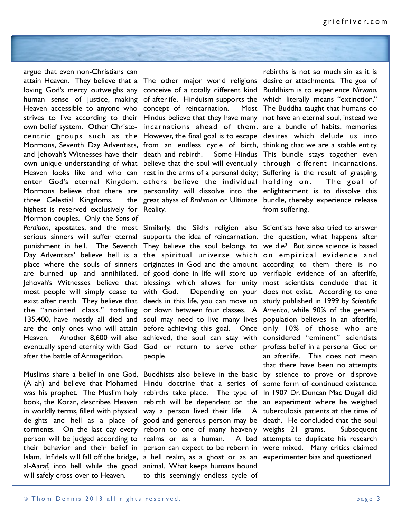argue that even non-Christians can attain Heaven. They believe that a The other major world religions desire or attachments. The goal of loving God's mercy outweighs any conceive of a totally different kind Buddhism is to experience Nirvana, human sense of justice, making of-afterlife. Hinduism-supports-the which literally means "extinction." Heaven accessible to anyone who concept of reincarnation. Most strives to live according to their Hindus believe that they have many not have an eternal soul, instead we own belief system. Other Christo-incarnations ahead of them. are a bundle of habits, memories centric groups such as the However, the final goal is to escape desires which delude us into Mormons, Seventh Day Adventists, from an endless cycle of birth, thinking that we are a stable entity. and Jehovah's Witnesses have their death and rebirth. Some Hindus This bundle stays together even own unique understanding of what believe that the soul will eventually through different incarnations. Heaven looks like and who can rest in the arms of a personal deity; Suffering is the result of grasping, enter God's eternal Kingdom. others believe the individual holding on. The goal of Mormons believe that there are personality will dissolve into the enlightenment is to dissolve this three Celestial Kingdoms, highest is reserved exclusively for Reality. Mormon couples. Only the *Sons of*  Perdition, apostates, and the most Similarly, the Sikhs religion also Scientists have also tried to answer serious sinners will suffer eternal supports the idea of reincarnation. the question, what happens after punishment in hell. The Seventh They believe the soul belongs to we die? But since science is based Day Adventists' believe hell is a the spiritual universe which on empirical evidence and place where the souls of sinners originates in God and the amount according to them there is no are burned up and annihilated. of good done in life will store up verifiable evidence of an afterlife, Jehovah's Witnesses believe that blessings which allows for unity most scientists conclude that it most people will simply cease to with God. Depending on your does not exist. According to one exist after death. They believe that deeds in this life, you can move up study published in 1999 by *Scientific*  the "anointed class," totaling or down between four classes. A *America*, while 90% of the general 135,400, have mostly all died and soul may need to live many lives population believes in an afterlife, are the only ones who will attain before achieving this goal. Once only 10% of those who are Heaven. Another 8,600 will also achieved, the soul can stay with considered "eminent" scientists eventually spend eternity with God God or return to serve other profess belief in a personal God or after the battle of Armageddon.

will safely cross over to Heaven.

great abyss of *Brahman* or Ultimate bundle, thereby experience release

people.

Muslims share a belief in one God, Buddhists also believe in the basic by science to prove or disprove (Allah) and believe that Mohamed Hindu doctrine that a series of some form of continued existence. was his prophet. The Muslim holy rebirths take place. The type of In 1907 Dr. Duncan Mac Dugall did book, the Koran, describes Heaven rebirth will be dependent on the an experiment where he weighed in worldly terms, filled with physical way a person lived their life. A tuberculosis patients at the time of delights and hell as a place of good and generous person may be death. He concluded that the soul torments. On the last day every reborn to one of many heavenly weighs 21 grams. Subsequent person will be judged according to realms or as a human. A bad their behavior and their belief in person can expect to be reborn in were mixed. Many critics claimed Islam. Infidels will fall off the bridge, a hell realm, as a ghost or as an experimenter bias and questioned al-Aaraf, into hell while the good animal. What keeps humans bound to this seemingly endless cycle of

rebirths is not so much sin as it is Most The Buddha taught that humans do from suffering.

an afterlife. This does not mean that there have been no attempts A bad attempts to duplicate his research